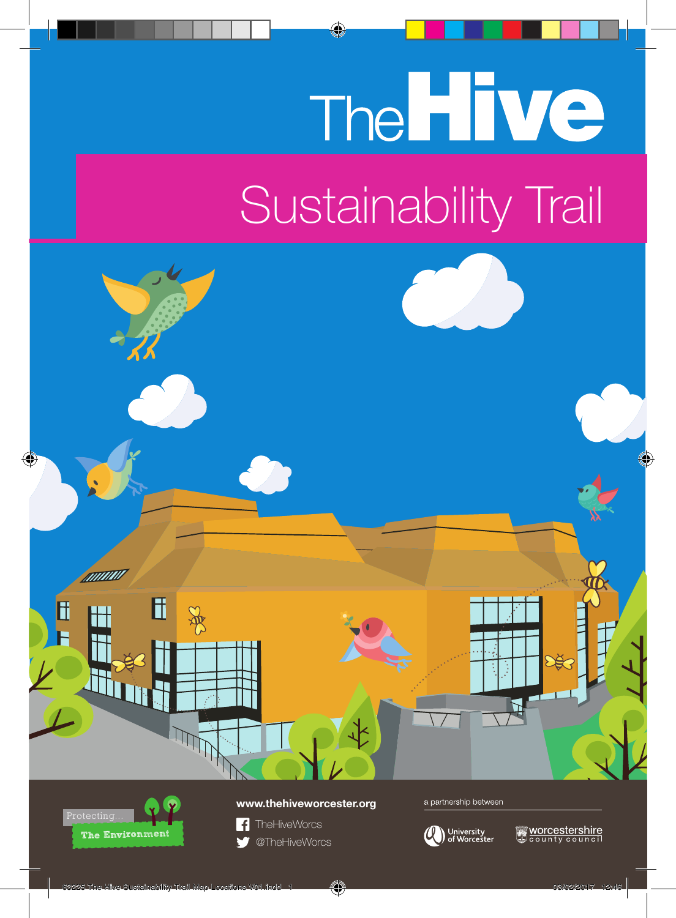## The Hive Sustainability Trail





## **www.thehiveworcester.org**



a partnership between



Worcestershire<br>«County council»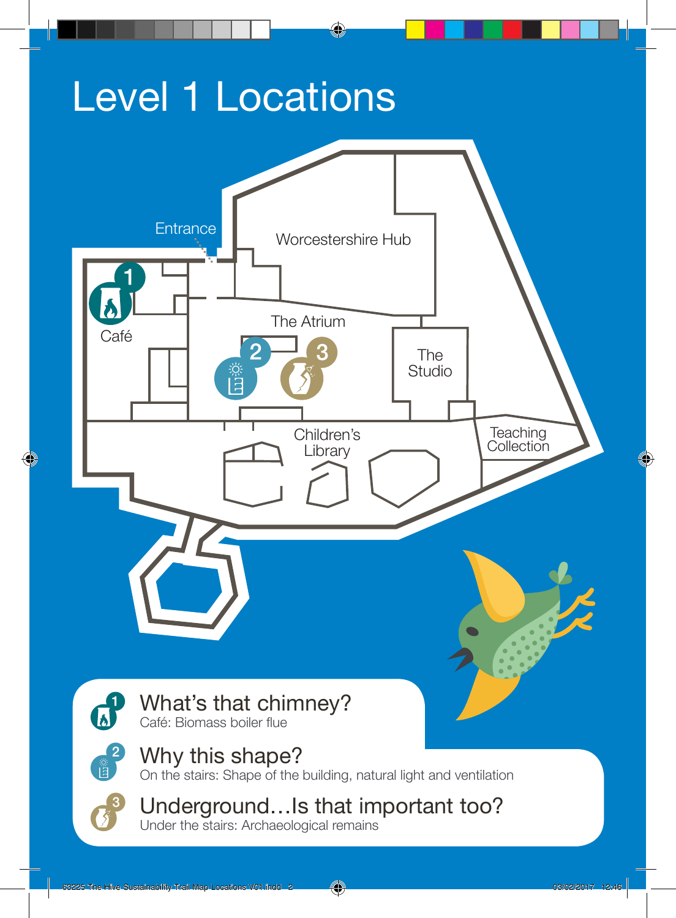## Level 1 Locations



Under the stairs: Archaeological remains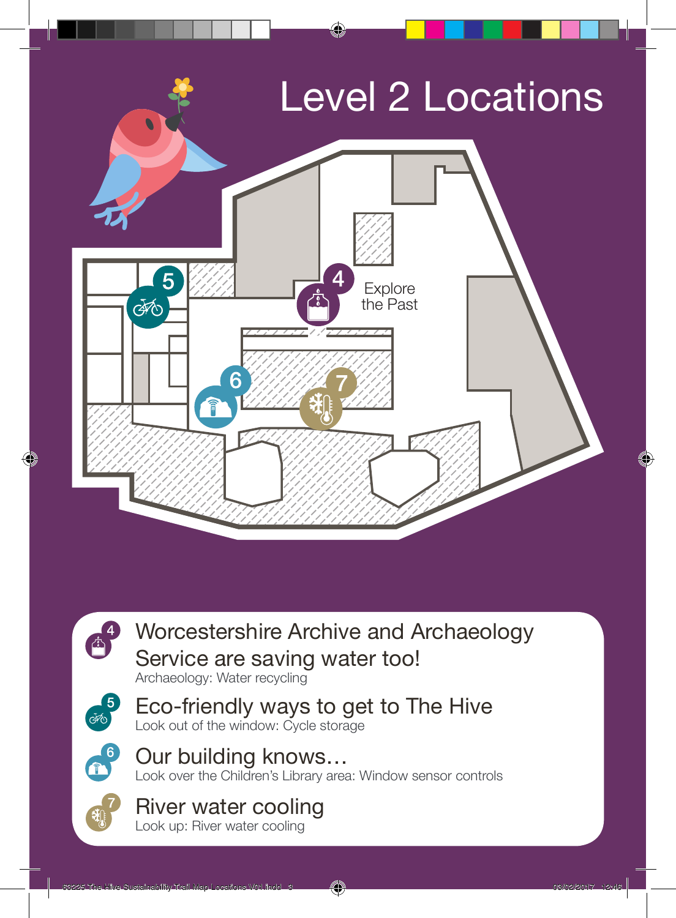

Worcestershire Archive and Archaeology Service are saving water too! Archaeology: Water recycling



 $\mathbf{r}^4$ 

Eco-friendly ways to get to The Hive Look out of the window: Cycle storage



Our building knows… Look over the Children's Library area: Window sensor controls

## River water cooling

Look up: River water cooling